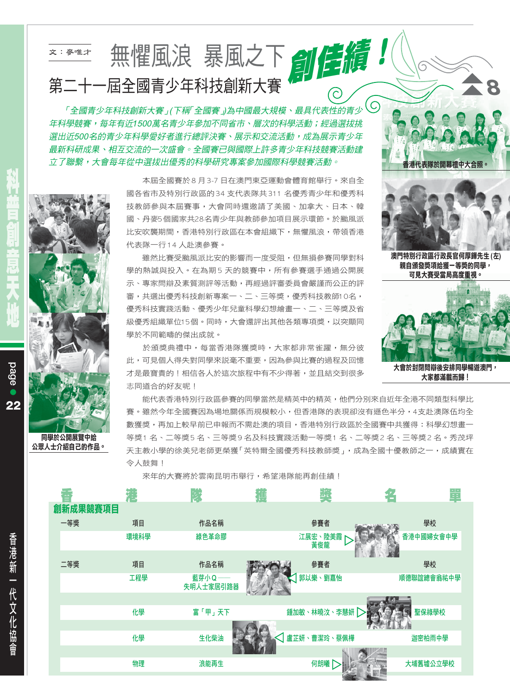## 無懼風浪暴風之下創作績! 文:麥唯才 第二十一屆全國青少年科技創新大賽

「全國青少年科技創新大賽」(下稱「全國賽」)為中國最大規模、最具代表性的青少 (O 年科學競賽,每年有沂1500萬名青少年參加不同省市、層次的科學活動;經過選拔挑 選出沂500名的青少年科學愛好者進行總評決賽、展示和交流活動,成為展示青少年 最新科研成果、相互交流的一次盛會。全國賽已與國際上許多青少年科技競賽活動建 立了腦繫,大會每年從中選拔出優委的科學研究專案參加國際科學競賽活動。

> 本屈全國賽於8月3-7日在澳門東亞運動會體育館舉行。來自全 國各省市及特別行政區的34 支代表隊共311 名優秀青少年和優秀科 技教師參與本屆賽事,大會同時還邀請了美國、加拿大、日本、韓 國、丹麥5個國家共28名青少年與教師參加項目展示環節。於颱風派 比安吹襲期間,香港特別行政區在本會組織下,無懼風浪,帶領香港 代表隊一行14人赴澳參賽。

> 雖然比賽受颱風派比安的影響而一度受阻,但無捐參賽同學對科 學的熱誠與投入。在為期5天的競賽中,所有參賽選手通過公開展 示、專家問辯及素質測評等活動,再經過評審委員會嚴謹而公正的評 審,共選出優秀科技創新專案一、二、三等獎,優秀科技教師10名, 優秀科技實踐活動、優秀少年兒童科學幻想繪書一、二、三等獎及省 級優秀組織單位15個。同時,大會還評出其他各類專項獎,以突顯同 學於不同範疇的傑出成就。

> 於頒獎典禮中,每當香港隊獲獎時,大家都非常雀躍,無分彼 此,可見個人得失對同學來説毫不重要,因為參與比賽的過程及回憶 才是最寶貴的!相信各人於這次旅程中有不少得著,並且結交到很多 志同道合的好友呢!

能代表香港特別行政區參賽的同學當然是精英中的精英,他們分別來自近年全港不同類型科學比 賽。雖然今年全國賽因為場地關係而規模較小,但香港隊的表現卻沒有遜色半分,4支赴澳隊伍均全 數獲獎,再加上較早前已申報而不需赴澳的項目,香港特別行政區於全國賽中共獲得:科學幻想畫一 等獎1 名、二等獎5 名、三等獎9 名及科技實踐活動一等獎1 名、二等獎2 名、三等獎2 名。秀茂坪 天主教小學的徐美兒老師更榮獲「英特爾全國優秀科技教師獎」,成為全國十優教師之一,成績實在 令人鼓舞!

來年的大賽將於雲南昆明市舉行,希望港隊能再創佳績!

|          |      | $\mathbb{R}$      | 傳 |                | 鼊          |
|----------|------|-------------------|---|----------------|------------|
| 創新成果競賽項目 |      |                   |   |                |            |
| 一等獎      | 項目   | 作品名稱              |   | 參賽者            | 學校         |
|          | 環境科學 | 綠色革命膠             |   | 江展宏、陸美霞<br>黃俊龍 | 香港中國婦女會中學  |
| 二等獎      | 項目   | 作品名稱              |   | 參賽者            | 學校         |
|          | 工程學  | 藍芽小Q<br>失明人士家居引路器 |   | 郭以樂、劉嘉怡        | 順德聯誼總會翁祐中學 |
|          |      |                   |   |                |            |
|          | 化學   | 富「甲」天下            |   | 鍾加敏、林曉汶、李慧妍    | 聖保祿學校      |
|          |      |                   |   |                |            |
|          | 化學   | 生化柴油              |   | 盧芷妍、曹潔玲、蔡佩樺    | 迦密柏雨中學     |
|          |      |                   |   |                |            |
|          | 物理   | 浪能再生              |   | 何朗曦            | 大埔舊墟公立學校   |

**page**  $22$ 

> 同學於公開展覽中給 公眾人士介紹自己的作品。



港代表隊於開幕禮中大合照

澳門特別行政區行政長官何厚鏵先生(左) 親自頒發獎項給獲一等獎的同學, 可見大賽受當局高度重視。



大家都滿載而歸!